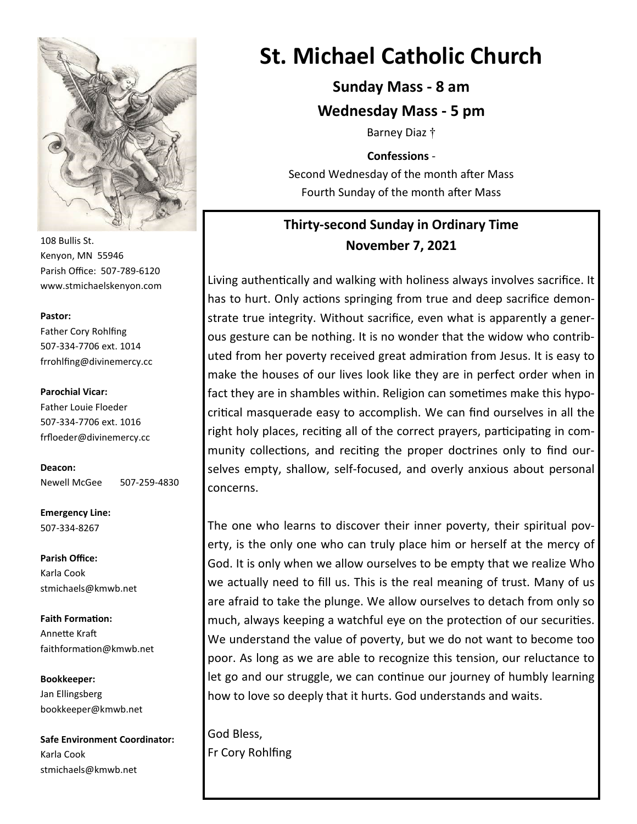

108 Bullis St. Kenyon, MN 55946 Parish Office: 507-789-6120 www.stmichaelskenyon.com

#### **Pastor:**

Father Cory Rohlfing 507-334-7706 ext. 1014 frrohlfing@divinemercy.cc

**Parochial Vicar:**  Father Louie Floeder 507-334-7706 ext. 1016 frfloeder@divinemercy.cc

**Deacon:**  Newell McGee 507-259-4830

**Emergency Line:** 507-334-8267

**Parish Office:**  Karla Cook stmichaels@kmwb.net

**Faith Formation:**  Annette Kraft faithformation@kmwb.net

**Bookkeeper:**  Jan Ellingsberg bookkeeper@kmwb.net

**Safe Environment Coordinator:** Karla Cook stmichaels@kmwb.net

# **St. Michael Catholic Church**

**Sunday Mass - 8 am**

**Wednesday Mass - 5 pm**

Barney Diaz †

**Confessions** -

Second Wednesday of the month after Mass Fourth Sunday of the month after Mass

## **Thirty-second Sunday in Ordinary Time November 7, 2021**

Living authentically and walking with holiness always involves sacrifice. It has to hurt. Only actions springing from true and deep sacrifice demonstrate true integrity. Without sacrifice, even what is apparently a generous gesture can be nothing. It is no wonder that the widow who contributed from her poverty received great admiration from Jesus. It is easy to make the houses of our lives look like they are in perfect order when in fact they are in shambles within. Religion can sometimes make this hypocritical masquerade easy to accomplish. We can find ourselves in all the right holy places, reciting all of the correct prayers, participating in community collections, and reciting the proper doctrines only to find ourselves empty, shallow, self-focused, and overly anxious about personal concerns.

The one who learns to discover their inner poverty, their spiritual poverty, is the only one who can truly place him or herself at the mercy of God. It is only when we allow ourselves to be empty that we realize Who we actually need to fill us. This is the real meaning of trust. Many of us are afraid to take the plunge. We allow ourselves to detach from only so much, always keeping a watchful eye on the protection of our securities. We understand the value of poverty, but we do not want to become too poor. As long as we are able to recognize this tension, our reluctance to let go and our struggle, we can continue our journey of humbly learning how to love so deeply that it hurts. God understands and waits.

God Bless, Fr Cory Rohlfing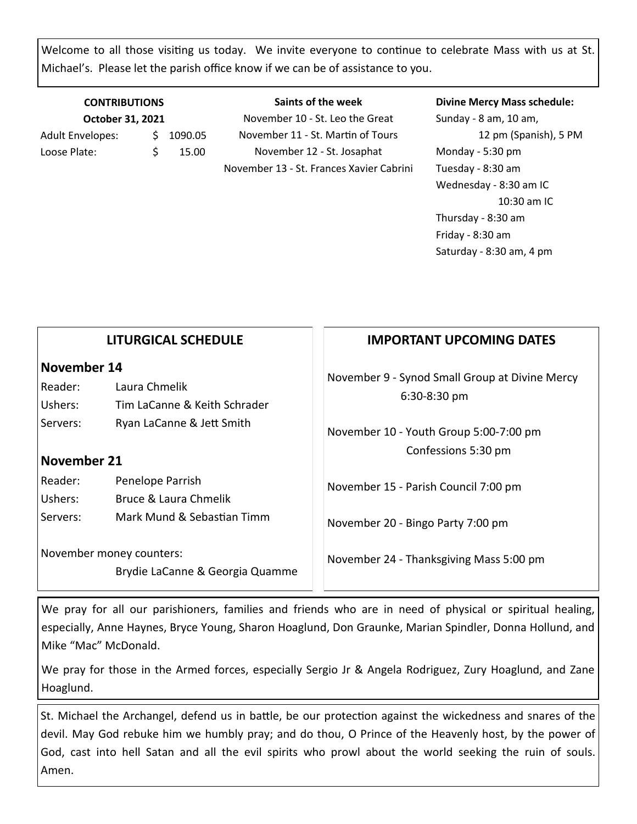Welcome to all those visiting us today. We invite everyone to continue to celebrate Mass with us at St. Michael's. Please let the parish office know if we can be of assistance to you.

### **CONTRIBUTIONS October 31, 2021** Adult Envelopes:  $\frac{1}{2}$  1090.05 Loose Plate:  $\qquad \qquad$  \$ 15.00

**Saints of the week** November 10 - St. Leo the Great November 11 - St. Martin of Tours November 12 - St. Josaphat November 13 - St. Frances Xavier Cabrini

#### **Divine Mercy Mass schedule:**

Sunday - 8 am, 10 am, 12 pm (Spanish), 5 PM Monday - 5:30 pm Tuesday - 8:30 am Wednesday - 8:30 am IC 10:30 am IC Thursday - 8:30 am Friday - 8:30 am Saturday - 8:30 am, 4 pm

|                                                                                    | <b>LITURGICAL SCHEDULE</b>                                              | <b>IMPORTANT UPCOMING DATES</b>                                              |
|------------------------------------------------------------------------------------|-------------------------------------------------------------------------|------------------------------------------------------------------------------|
| November 14<br>Laura Chmelik<br>Reader:<br>Ushers:<br>Tim LaCanne & Keith Schrader | November 9 - Synod Small Group at Divine Mercy<br>6:30-8:30 pm          |                                                                              |
| Servers:<br>November 21                                                            | Ryan LaCanne & Jett Smith                                               | November 10 - Youth Group 5:00-7:00 pm<br>Confessions 5:30 pm                |
| Reader:<br>Ushers:<br>Servers:                                                     | Penelope Parrish<br>Bruce & Laura Chmelik<br>Mark Mund & Sebastian Timm | November 15 - Parish Council 7:00 pm                                         |
| November money counters:<br>Brydie LaCanne & Georgia Quamme                        |                                                                         | November 20 - Bingo Party 7:00 pm<br>November 24 - Thanksgiving Mass 5:00 pm |
|                                                                                    |                                                                         |                                                                              |

We pray for all our parishioners, families and friends who are in need of physical or spiritual healing, especially, Anne Haynes, Bryce Young, Sharon Hoaglund, Don Graunke, Marian Spindler, Donna Hollund, and Mike "Mac" McDonald.

We pray for those in the Armed forces, especially Sergio Jr & Angela Rodriguez, Zury Hoaglund, and Zane Hoaglund.

St. Michael the Archangel, defend us in battle, be our protection against the wickedness and snares of the devil. May God rebuke him we humbly pray; and do thou, O Prince of the Heavenly host, by the power of God, cast into hell Satan and all the evil spirits who prowl about the world seeking the ruin of souls. Amen.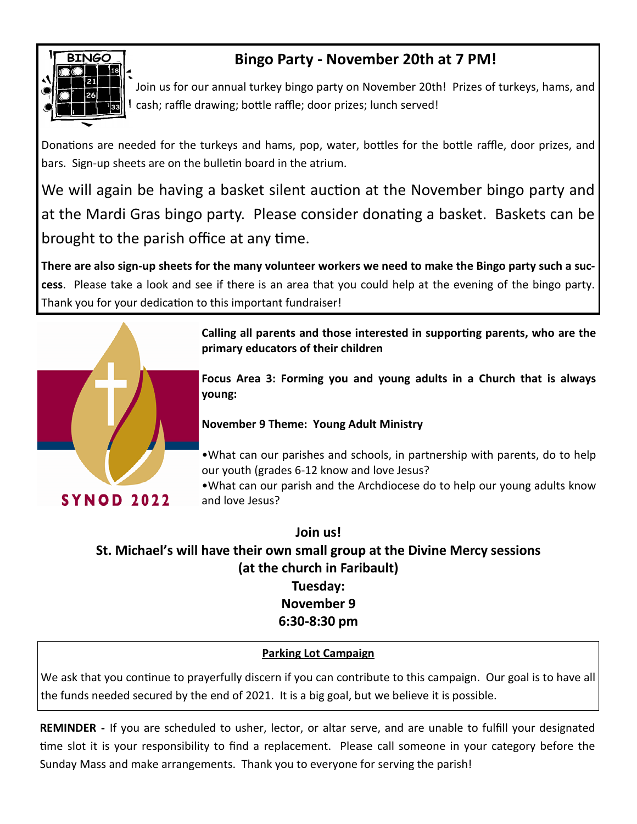

# **Bingo Party - November 20th at 7 PM!**

Join us for our annual turkey bingo party on November 20th! Prizes of turkeys, hams, and cash; raffle drawing; bottle raffle; door prizes; lunch served!

Donations are needed for the turkeys and hams, pop, water, bottles for the bottle raffle, door prizes, and bars. Sign-up sheets are on the bulletin board in the atrium.

We will again be having a basket silent auction at the November bingo party and at the Mardi Gras bingo party. Please consider donating a basket. Baskets can be brought to the parish office at any time.

**There are also sign-up sheets for the many volunteer workers we need to make the Bingo party such a success**. Please take a look and see if there is an area that you could help at the evening of the bingo party. Thank you for your dedication to this important fundraiser!



**Calling all parents and those interested in supporting parents, who are the primary educators of their children**

**Focus Area 3: Forming you and young adults in a Church that is always young:**

### **November 9 Theme: Young Adult Ministry**

•What can our parishes and schools, in partnership with parents, do to help our youth (grades 6-12 know and love Jesus?

•What can our parish and the Archdiocese do to help our young adults know and love Jesus?

**Join us! St. Michael's will have their own small group at the Divine Mercy sessions (at the church in Faribault) Tuesday: November 9**

### **6:30-8:30 pm**

### **Parking Lot Campaign**

We ask that you continue to prayerfully discern if you can contribute to this campaign. Our goal is to have all the funds needed secured by the end of 2021. It is a big goal, but we believe it is possible.

**REMINDER -** If you are scheduled to usher, lector, or altar serve, and are unable to fulfill your designated time slot it is your responsibility to find a replacement. Please call someone in your category before the Sunday Mass and make arrangements. Thank you to everyone for serving the parish!